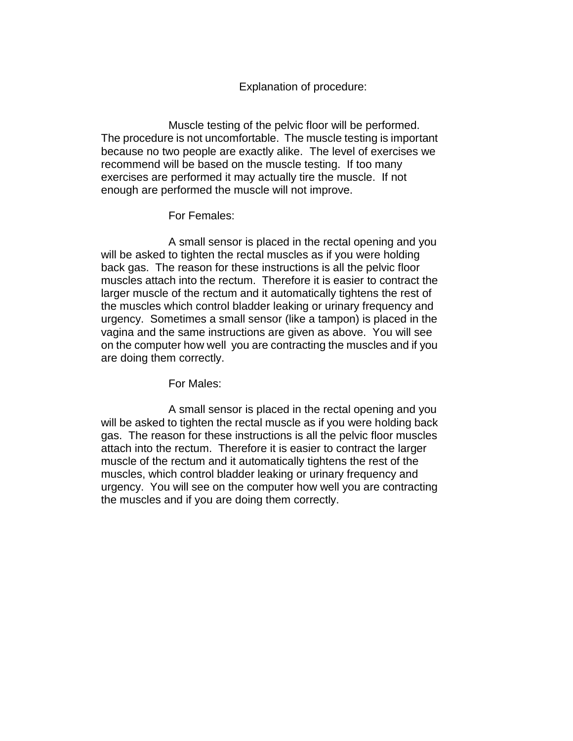## Explanation of procedure:

Muscle testing of the pelvic floor will be performed. The procedure is not uncomfortable. The muscle testing is important because no two people are exactly alike. The level of exercises we recommend will be based on the muscle testing. If too many exercises are performed it may actually tire the muscle. If not enough are performed the muscle will not improve.

## For Females:

A small sensor is placed in the rectal opening and you will be asked to tighten the rectal muscles as if you were holding back gas. The reason for these instructions is all the pelvic floor muscles attach into the rectum. Therefore it is easier to contract the larger muscle of the rectum and it automatically tightens the rest of the muscles which control bladder leaking or urinary frequency and urgency. Sometimes a small sensor (like a tampon) is placed in the vagina and the same instructions are given as above. You will see on the computer how well you are contracting the muscles and if you are doing them correctly.

For Males:

A small sensor is placed in the rectal opening and you will be asked to tighten the rectal muscle as if you were holding back gas. The reason for these instructions is all the pelvic floor muscles attach into the rectum. Therefore it is easier to contract the larger muscle of the rectum and it automatically tightens the rest of the muscles, which control bladder leaking or urinary frequency and urgency. You will see on the computer how well you are contracting the muscles and if you are doing them correctly.